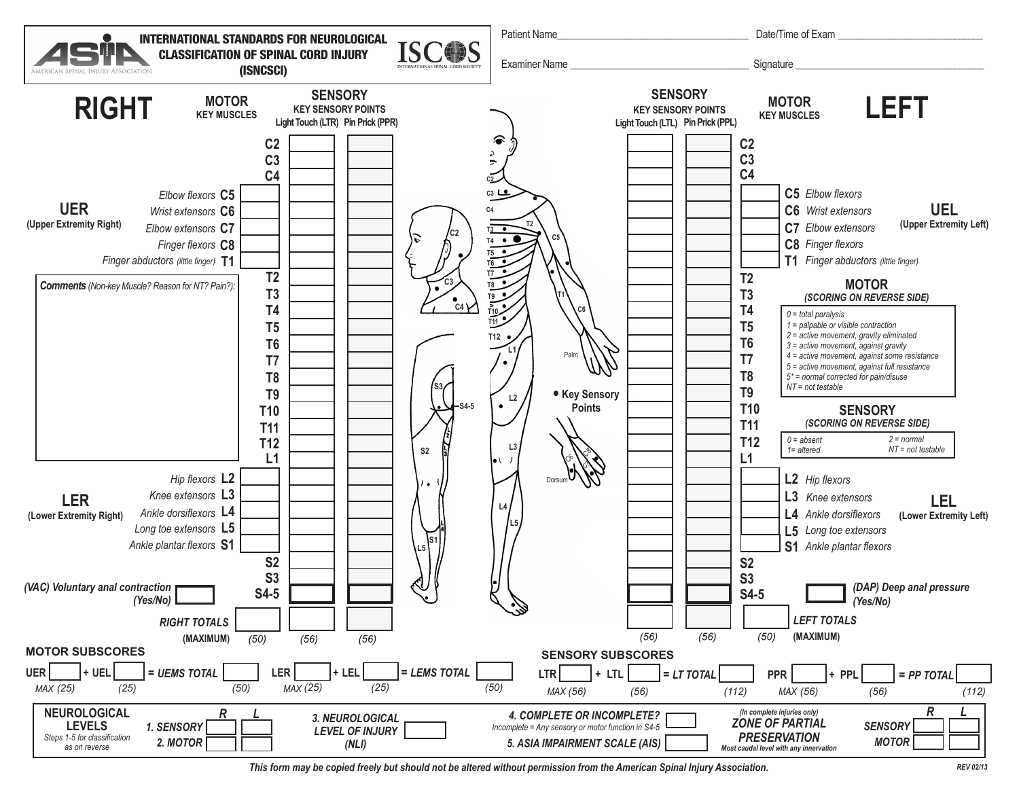

*This form may be copied freely but should not be altered without permission from the American Spinal Injury Association. REV 02/13*